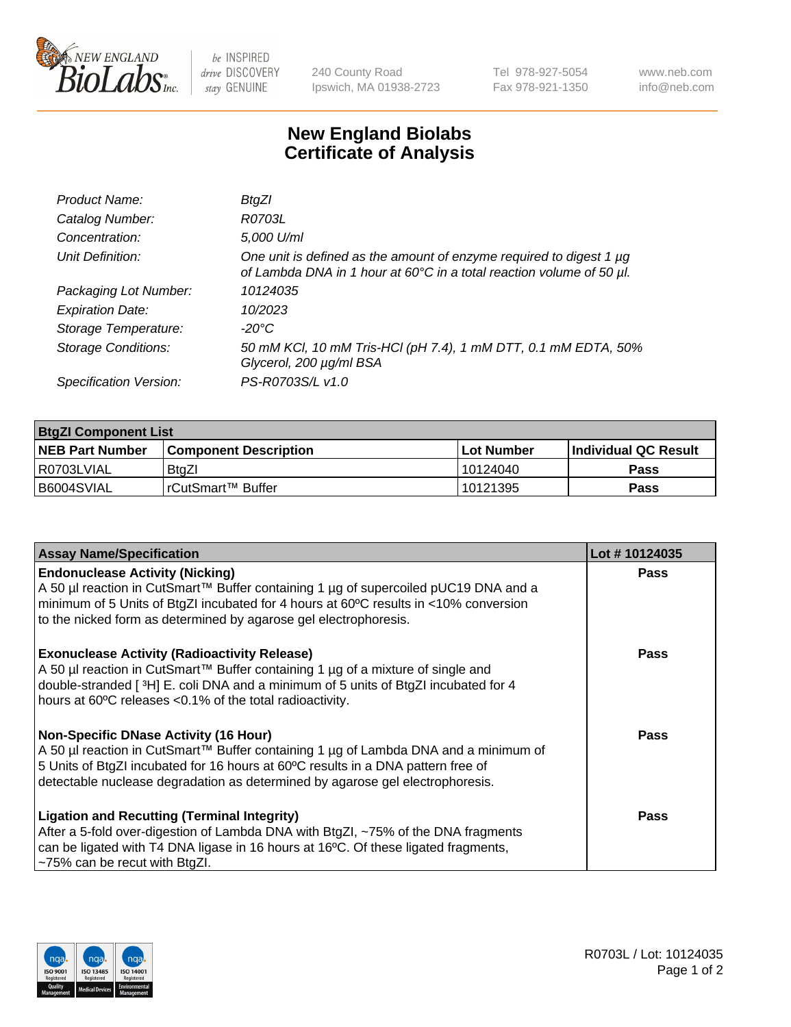

 $be$  INSPIRED drive DISCOVERY stay GENUINE

240 County Road Ipswich, MA 01938-2723 Tel 978-927-5054 Fax 978-921-1350 www.neb.com info@neb.com

## **New England Biolabs Certificate of Analysis**

| Product Name:           | BtgZl                                                                                                                                            |
|-------------------------|--------------------------------------------------------------------------------------------------------------------------------------------------|
| Catalog Number:         | R0703L                                                                                                                                           |
| Concentration:          | 5,000 U/ml                                                                                                                                       |
| Unit Definition:        | One unit is defined as the amount of enzyme required to digest 1 $\mu$ g<br>of Lambda DNA in 1 hour at 60°C in a total reaction volume of 50 µl. |
| Packaging Lot Number:   | 10124035                                                                                                                                         |
| <b>Expiration Date:</b> | 10/2023                                                                                                                                          |
| Storage Temperature:    | -20°C                                                                                                                                            |
| Storage Conditions:     | 50 mM KCl, 10 mM Tris-HCl (pH 7.4), 1 mM DTT, 0.1 mM EDTA, 50%<br>Glycerol, 200 µg/ml BSA                                                        |
| Specification Version:  | PS-R0703S/L v1.0                                                                                                                                 |

| <b>BtgZI Component List</b> |                              |              |                             |  |
|-----------------------------|------------------------------|--------------|-----------------------------|--|
| <b>NEB Part Number</b>      | <b>Component Description</b> | l Lot Number | <b>Individual QC Result</b> |  |
| R0703LVIAL                  | BtaZI                        | 10124040     | Pass                        |  |
| B6004SVIAL                  | l rCutSmart™ Buffer          | 10121395     | Pass                        |  |

| <b>Assay Name/Specification</b>                                                                                                                                                                                                                                                                          | Lot #10124035 |
|----------------------------------------------------------------------------------------------------------------------------------------------------------------------------------------------------------------------------------------------------------------------------------------------------------|---------------|
| <b>Endonuclease Activity (Nicking)</b><br>A 50 µl reaction in CutSmart™ Buffer containing 1 µg of supercoiled pUC19 DNA and a<br>minimum of 5 Units of BtgZI incubated for 4 hours at 60°C results in <10% conversion<br>to the nicked form as determined by agarose gel electrophoresis.                | Pass          |
| <b>Exonuclease Activity (Radioactivity Release)</b><br>A 50 µl reaction in CutSmart™ Buffer containing 1 µg of a mixture of single and<br>double-stranded [3H] E. coli DNA and a minimum of 5 units of BtgZI incubated for 4<br>hours at 60°C releases <0.1% of the total radioactivity.                 | <b>Pass</b>   |
| <b>Non-Specific DNase Activity (16 Hour)</b><br>A 50 µl reaction in CutSmart™ Buffer containing 1 µg of Lambda DNA and a minimum of<br>5 Units of BtgZI incubated for 16 hours at 60°C results in a DNA pattern free of<br>detectable nuclease degradation as determined by agarose gel electrophoresis. | Pass          |
| <b>Ligation and Recutting (Terminal Integrity)</b><br>After a 5-fold over-digestion of Lambda DNA with BtgZI, ~75% of the DNA fragments<br>can be ligated with T4 DNA ligase in 16 hours at 16°C. Of these ligated fragments,<br>~75% can be recut with BtgZl.                                           | Pass          |